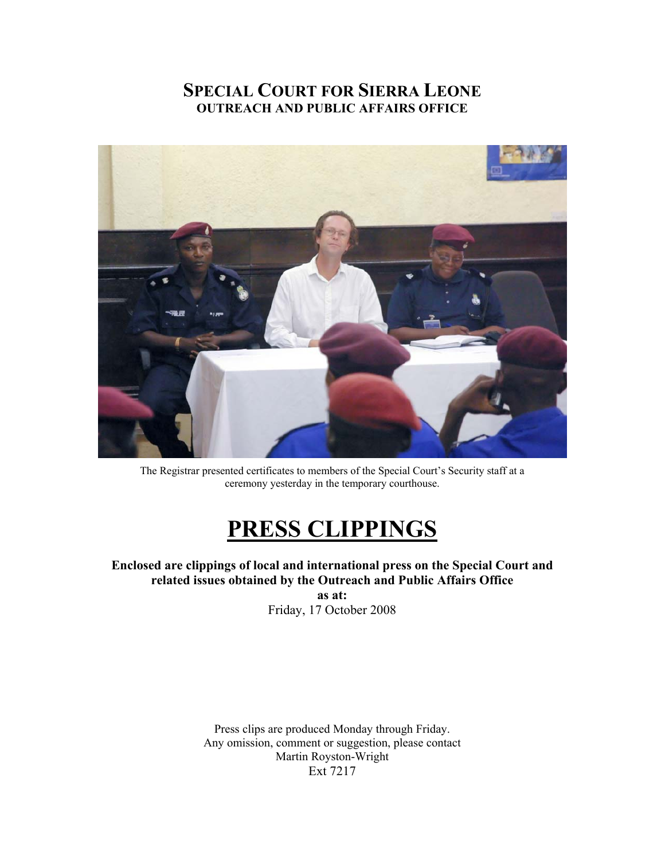# **SPECIAL COURT FOR SIERRA LEONE OUTREACH AND PUBLIC AFFAIRS OFFICE**



The Registrar presented certificates to members of the Special Court's Security staff at a ceremony yesterday in the temporary courthouse.

# **PRESS CLIPPINGS**

**Enclosed are clippings of local and international press on the Special Court and related issues obtained by the Outreach and Public Affairs Office as at:**  Friday, 17 October 2008

> Press clips are produced Monday through Friday. Any omission, comment or suggestion, please contact Martin Royston-Wright Ext 7217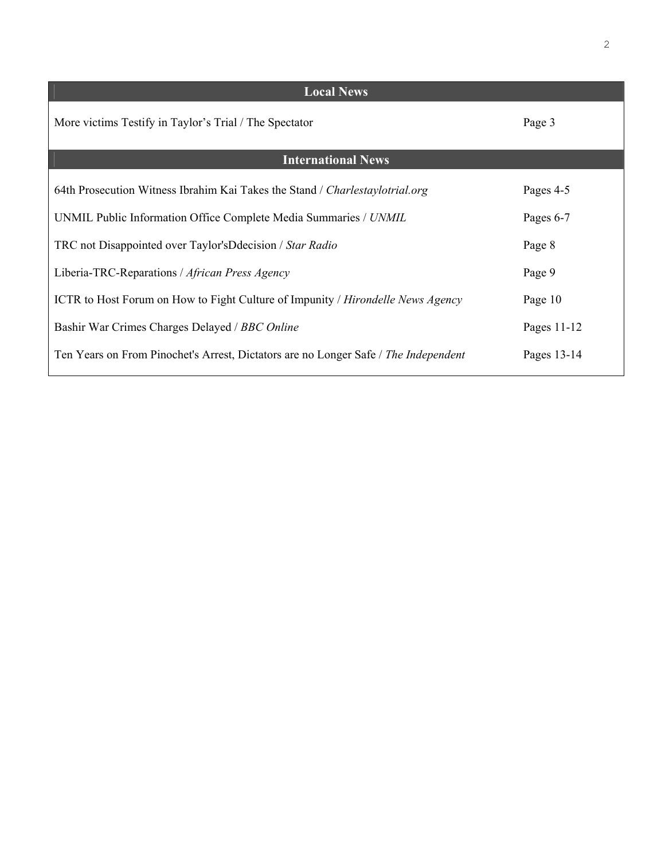| <b>Local News</b>                                                                             |             |
|-----------------------------------------------------------------------------------------------|-------------|
| More victims Testify in Taylor's Trial / The Spectator                                        | Page 3      |
| <b>International News</b>                                                                     |             |
| 64th Prosecution Witness Ibrahim Kai Takes the Stand / Charlestaylotrial.org                  | Pages 4-5   |
| UNMIL Public Information Office Complete Media Summaries / UNMIL                              | Pages 6-7   |
| TRC not Disappointed over Taylor's Ddecision / Star Radio                                     | Page 8      |
| Liberia-TRC-Reparations / African Press Agency                                                | Page 9      |
| <b>ICTR</b> to Host Forum on How to Fight Culture of Impunity / <i>Hirondelle News Agency</i> | Page 10     |
| Bashir War Crimes Charges Delayed / BBC Online                                                | Pages 11-12 |
| Ten Years on From Pinochet's Arrest, Dictators are no Longer Safe / The Independent           | Pages 13-14 |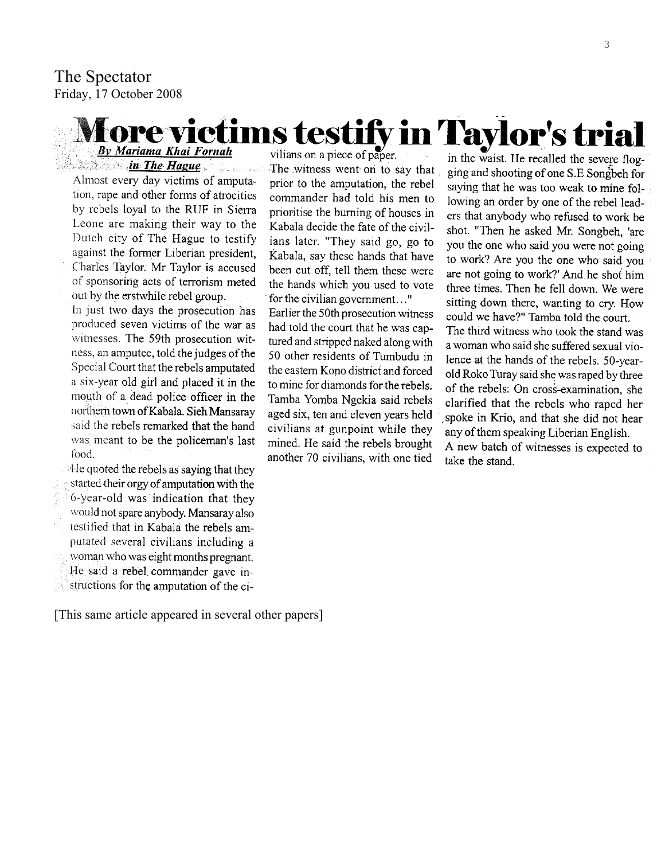The Spectator Friday, 17 October 2008

### **Lore victims testify in Taylor's trial By Mariama Khai Fornah** vilians on a piece of paper.

*in The Hague* Almost every day victims of amputation, rape and other forms of atrocities by rebels loyal to the RUF in Sierra Leone are making their way to the Dutch city of The Hague to testify against the former Liberian president. Charles Taylor. Mr Taylor is accused of sponsoring acts of terrorism meted out by the erstwhile rebel group.

In just two days the prosecution has produced seven victims of the war as witnesses. The 59th prosecution witness, an amputee, told the judges of the Special Court that the rebels amputated a six-year old girl and placed it in the mouth of a dead police officer in the northern town of Kabala. Sieh Mansaray said the rebels remarked that the hand was meant to be the policeman's last food.

He quoted the rebels as saying that they started their orgy of amputation with the 6-year-old was indication that they would not spare anybody. Mansaray also testified that in Kabala the rebels amputated several civilians including a woman who was eight months pregnant. He said a rebel commander gave instructions for the amputation of the ci-

[This same article appeared in several other papers]

The witness went on to say that prior to the amputation, the rebel commander had told his men to prioritise the burning of houses in Kabala decide the fate of the civilians later. "They said go, go to Kabala, say these hands that have been cut off, tell them these were the hands which you used to vote for the civilian government..."

Earlier the 50th prosecution witness had told the court that he was captured and stripped naked along with 50 other residents of Tumbudu in the eastern Kono district and forced to mine for diamonds for the rebels. Tamba Yomba Ngekia said rebels aged six, ten and eleven years held civilians at gunpoint while they mined. He said the rebels brought another 70 civilians, with one tied

in the waist. He recalled the severe flogging and shooting of one S.E Songbeh for saying that he was too weak to mine following an order by one of the rebel leaders that anybody who refused to work be shot. "Then he asked Mr. Songbeh, 'are you the one who said you were not going to work? Are you the one who said you are not going to work?' And he shot him three times. Then he fell down. We were sitting down there, wanting to cry. How could we have?" Tamba told the court. The third witness who took the stand was a woman who said she suffered sexual violence at the hands of the rebels. 50-yearold Roko Turay said she was raped by three of the rebels. On cross-examination, she clarified that the rebels who raped her spoke in Krio, and that she did not hear any of them speaking Liberian English. A new batch of witnesses is expected to take the stand.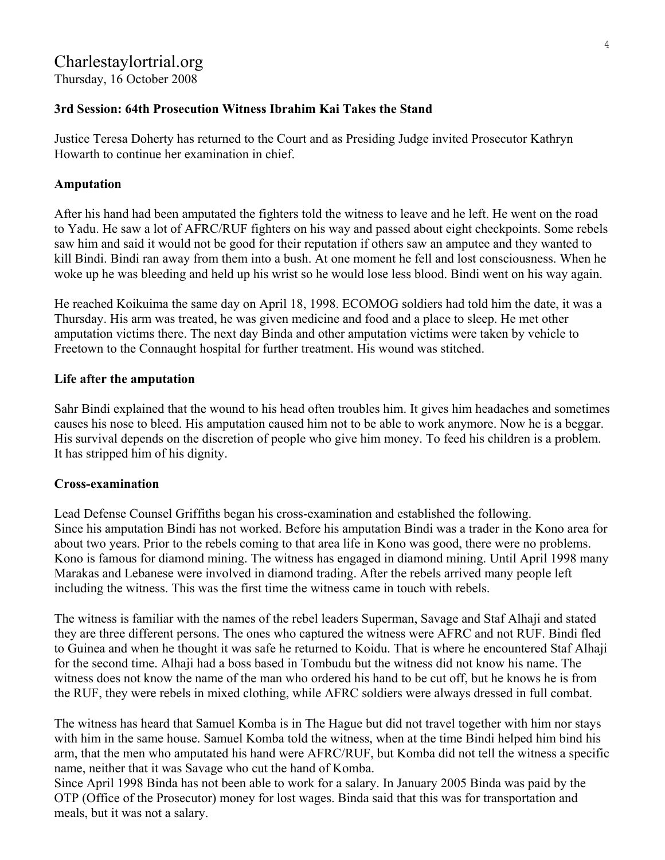#### **3rd Session: 64th Prosecution Witness Ibrahim Kai Takes the Stand**

Justice Teresa Doherty has returned to the Court and as Presiding Judge invited Prosecutor Kathryn Howarth to continue her examination in chief.

#### **Amputation**

After his hand had been amputated the fighters told the witness to leave and he left. He went on the road to Yadu. He saw a lot of AFRC/RUF fighters on his way and passed about eight checkpoints. Some rebels saw him and said it would not be good for their reputation if others saw an amputee and they wanted to kill Bindi. Bindi ran away from them into a bush. At one moment he fell and lost consciousness. When he woke up he was bleeding and held up his wrist so he would lose less blood. Bindi went on his way again.

He reached Koikuima the same day on April 18, 1998. ECOMOG soldiers had told him the date, it was a Thursday. His arm was treated, he was given medicine and food and a place to sleep. He met other amputation victims there. The next day Binda and other amputation victims were taken by vehicle to Freetown to the Connaught hospital for further treatment. His wound was stitched.

#### **Life after the amputation**

Sahr Bindi explained that the wound to his head often troubles him. It gives him headaches and sometimes causes his nose to bleed. His amputation caused him not to be able to work anymore. Now he is a beggar. His survival depends on the discretion of people who give him money. To feed his children is a problem. It has stripped him of his dignity.

#### **Cross-examination**

Lead Defense Counsel Griffiths began his cross-examination and established the following. Since his amputation Bindi has not worked. Before his amputation Bindi was a trader in the Kono area for about two years. Prior to the rebels coming to that area life in Kono was good, there were no problems. Kono is famous for diamond mining. The witness has engaged in diamond mining. Until April 1998 many Marakas and Lebanese were involved in diamond trading. After the rebels arrived many people left including the witness. This was the first time the witness came in touch with rebels.

The witness is familiar with the names of the rebel leaders Superman, Savage and Staf Alhaji and stated they are three different persons. The ones who captured the witness were AFRC and not RUF. Bindi fled to Guinea and when he thought it was safe he returned to Koidu. That is where he encountered Staf Alhaji for the second time. Alhaji had a boss based in Tombudu but the witness did not know his name. The witness does not know the name of the man who ordered his hand to be cut off, but he knows he is from the RUF, they were rebels in mixed clothing, while AFRC soldiers were always dressed in full combat.

The witness has heard that Samuel Komba is in The Hague but did not travel together with him nor stays with him in the same house. Samuel Komba told the witness, when at the time Bindi helped him bind his arm, that the men who amputated his hand were AFRC/RUF, but Komba did not tell the witness a specific name, neither that it was Savage who cut the hand of Komba.

Since April 1998 Binda has not been able to work for a salary. In January 2005 Binda was paid by the OTP (Office of the Prosecutor) money for lost wages. Binda said that this was for transportation and meals, but it was not a salary.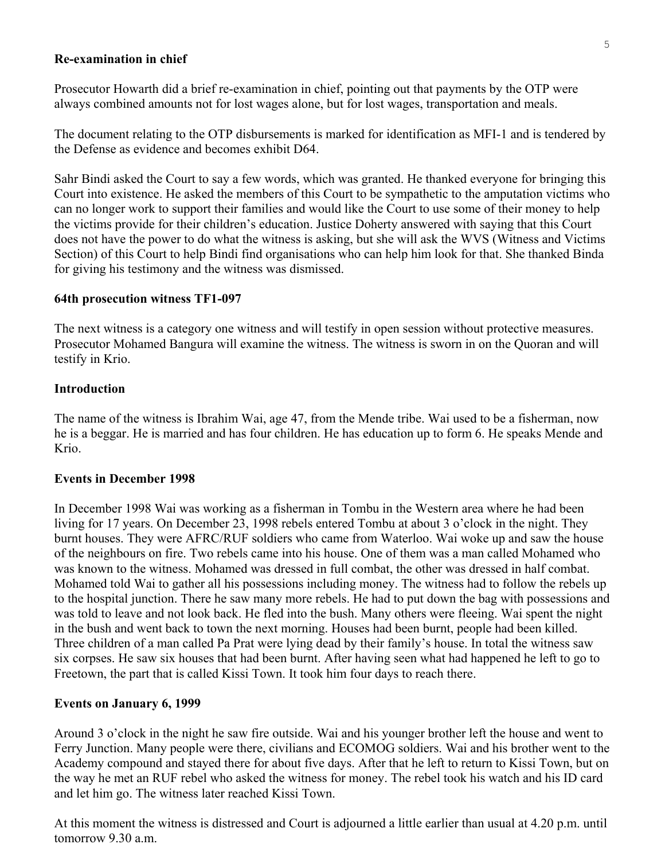#### **Re-examination in chief**

Prosecutor Howarth did a brief re-examination in chief, pointing out that payments by the OTP were always combined amounts not for lost wages alone, but for lost wages, transportation and meals.

The document relating to the OTP disbursements is marked for identification as MFI-1 and is tendered by the Defense as evidence and becomes exhibit D64.

Sahr Bindi asked the Court to say a few words, which was granted. He thanked everyone for bringing this Court into existence. He asked the members of this Court to be sympathetic to the amputation victims who can no longer work to support their families and would like the Court to use some of their money to help the victims provide for their children's education. Justice Doherty answered with saying that this Court does not have the power to do what the witness is asking, but she will ask the WVS (Witness and Victims Section) of this Court to help Bindi find organisations who can help him look for that. She thanked Binda for giving his testimony and the witness was dismissed.

#### **64th prosecution witness TF1-097**

The next witness is a category one witness and will testify in open session without protective measures. Prosecutor Mohamed Bangura will examine the witness. The witness is sworn in on the Quoran and will testify in Krio.

#### **Introduction**

The name of the witness is Ibrahim Wai, age 47, from the Mende tribe. Wai used to be a fisherman, now he is a beggar. He is married and has four children. He has education up to form 6. He speaks Mende and Krio.

#### **Events in December 1998**

In December 1998 Wai was working as a fisherman in Tombu in the Western area where he had been living for 17 years. On December 23, 1998 rebels entered Tombu at about 3 o'clock in the night. They burnt houses. They were AFRC/RUF soldiers who came from Waterloo. Wai woke up and saw the house of the neighbours on fire. Two rebels came into his house. One of them was a man called Mohamed who was known to the witness. Mohamed was dressed in full combat, the other was dressed in half combat. Mohamed told Wai to gather all his possessions including money. The witness had to follow the rebels up to the hospital junction. There he saw many more rebels. He had to put down the bag with possessions and was told to leave and not look back. He fled into the bush. Many others were fleeing. Wai spent the night in the bush and went back to town the next morning. Houses had been burnt, people had been killed. Three children of a man called Pa Prat were lying dead by their family's house. In total the witness saw six corpses. He saw six houses that had been burnt. After having seen what had happened he left to go to Freetown, the part that is called Kissi Town. It took him four days to reach there.

#### **Events on January 6, 1999**

Around 3 o'clock in the night he saw fire outside. Wai and his younger brother left the house and went to Ferry Junction. Many people were there, civilians and ECOMOG soldiers. Wai and his brother went to the Academy compound and stayed there for about five days. After that he left to return to Kissi Town, but on the way he met an RUF rebel who asked the witness for money. The rebel took his watch and his ID card and let him go. The witness later reached Kissi Town.

At this moment the witness is distressed and Court is adjourned a little earlier than usual at 4.20 p.m. until tomorrow 9.30 a.m.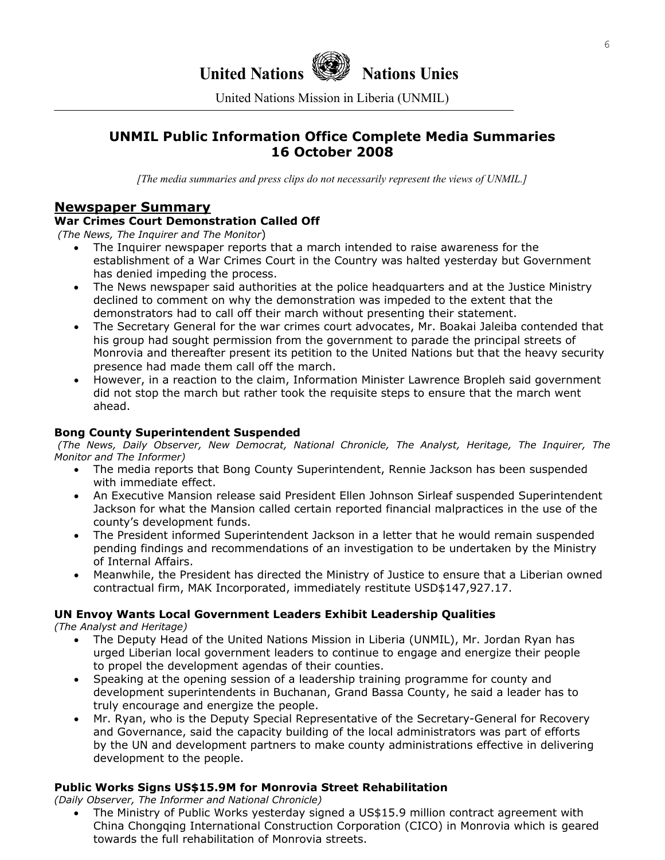# **United Nations Nations Unies**

# **UNMIL Public Information Office Complete Media Summaries 16 October 2008**

*[The media summaries and press clips do not necessarily represent the views of UNMIL.]*

#### **Newspaper Summary**

#### **War Crimes Court Demonstration Called Off**

 *(The News, The Inquirer and The Monitor*)

- The Inquirer newspaper reports that a march intended to raise awareness for the establishment of a War Crimes Court in the Country was halted yesterday but Government has denied impeding the process.
- The News newspaper said authorities at the police headquarters and at the Justice Ministry declined to comment on why the demonstration was impeded to the extent that the demonstrators had to call off their march without presenting their statement.
- The Secretary General for the war crimes court advocates, Mr. Boakai Jaleiba contended that his group had sought permission from the government to parade the principal streets of Monrovia and thereafter present its petition to the United Nations but that the heavy security presence had made them call off the march.
- However, in a reaction to the claim, Information Minister Lawrence Bropleh said government did not stop the march but rather took the requisite steps to ensure that the march went ahead.

#### **Bong County Superintendent Suspended**

*(The News, Daily Observer, New Democrat, National Chronicle, The Analyst, Heritage, The Inquirer, The Monitor and The Informer)* 

- The media reports that Bong County Superintendent, Rennie Jackson has been suspended with immediate effect.
- An Executive Mansion release said President Ellen Johnson Sirleaf suspended Superintendent Jackson for what the Mansion called certain reported financial malpractices in the use of the county's development funds.
- The President informed Superintendent Jackson in a letter that he would remain suspended pending findings and recommendations of an investigation to be undertaken by the Ministry of Internal Affairs.
- Meanwhile, the President has directed the Ministry of Justice to ensure that a Liberian owned contractual firm, MAK Incorporated, immediately restitute USD\$147,927.17.

#### **UN Envoy Wants Local Government Leaders Exhibit Leadership Qualities**

*(The Analyst and Heritage)*

- The Deputy Head of the United Nations Mission in Liberia (UNMIL), Mr. Jordan Ryan has urged Liberian local government leaders to continue to engage and energize their people to propel the development agendas of their counties.
- Speaking at the opening session of a leadership training programme for county and development superintendents in Buchanan, Grand Bassa County, he said a leader has to truly encourage and energize the people.
- Mr. Ryan, who is the Deputy Special Representative of the Secretary-General for Recovery and Governance, said the capacity building of the local administrators was part of efforts by the UN and development partners to make county administrations effective in delivering development to the people.

#### **Public Works Signs US\$15.9M for Monrovia Street Rehabilitation**

*(Daily Observer, The Informer and National Chronicle)*

• The Ministry of Public Works yesterday signed a US\$15.9 million contract agreement with China Chongqing International Construction Corporation (CICO) in Monrovia which is geared towards the full rehabilitation of Monrovia streets.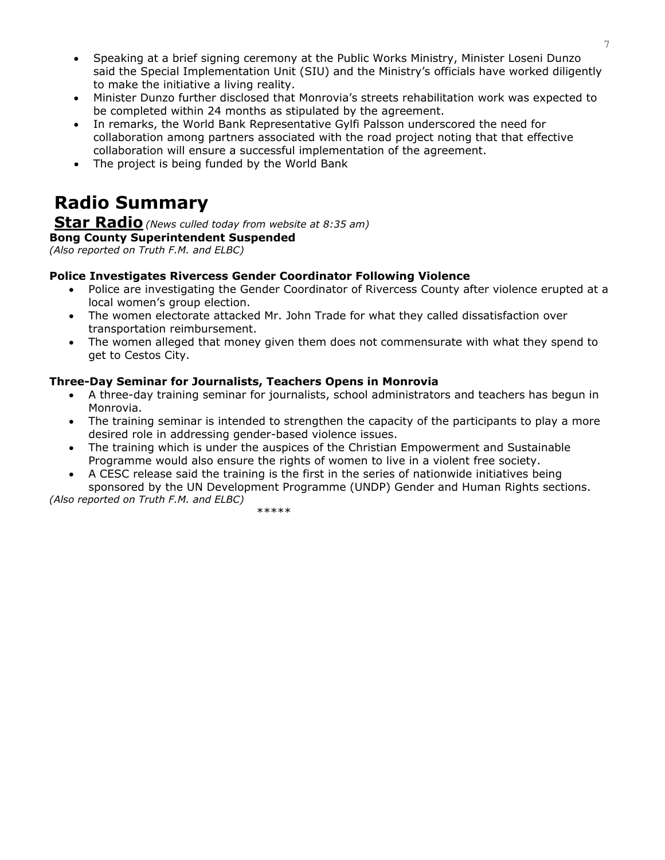- Speaking at a brief signing ceremony at the Public Works Ministry, Minister Loseni Dunzo said the Special Implementation Unit (SIU) and the Ministry's officials have worked diligently to make the initiative a living reality.
- Minister Dunzo further disclosed that Monrovia's streets rehabilitation work was expected to be completed within 24 months as stipulated by the agreement.
- In remarks, the World Bank Representative Gylfi Palsson underscored the need for collaboration among partners associated with the road project noting that that effective collaboration will ensure a successful implementation of the agreement.
- The project is being funded by the World Bank

# **Radio Summary**

**Star Radio***(News culled today from website at 8:35 am)* 

#### **Bong County Superintendent Suspended**

*(Also reported on Truth F.M. and ELBC)* 

#### **Police Investigates Rivercess Gender Coordinator Following Violence**

- Police are investigating the Gender Coordinator of Rivercess County after violence erupted at a local women's group election.
- The women electorate attacked Mr. John Trade for what they called dissatisfaction over transportation reimbursement.
- The women alleged that money given them does not commensurate with what they spend to get to Cestos City.

#### **Three-Day Seminar for Journalists, Teachers Opens in Monrovia**

- A three-day training seminar for journalists, school administrators and teachers has begun in Monrovia.
- The training seminar is intended to strengthen the capacity of the participants to play a more desired role in addressing gender-based violence issues.
- The training which is under the auspices of the Christian Empowerment and Sustainable Programme would also ensure the rights of women to live in a violent free society.
- A CESC release said the training is the first in the series of nationwide initiatives being sponsored by the UN Development Programme (UNDP) Gender and Human Rights sections.

*(Also reported on Truth F.M. and ELBC)* \*\*\*\*\*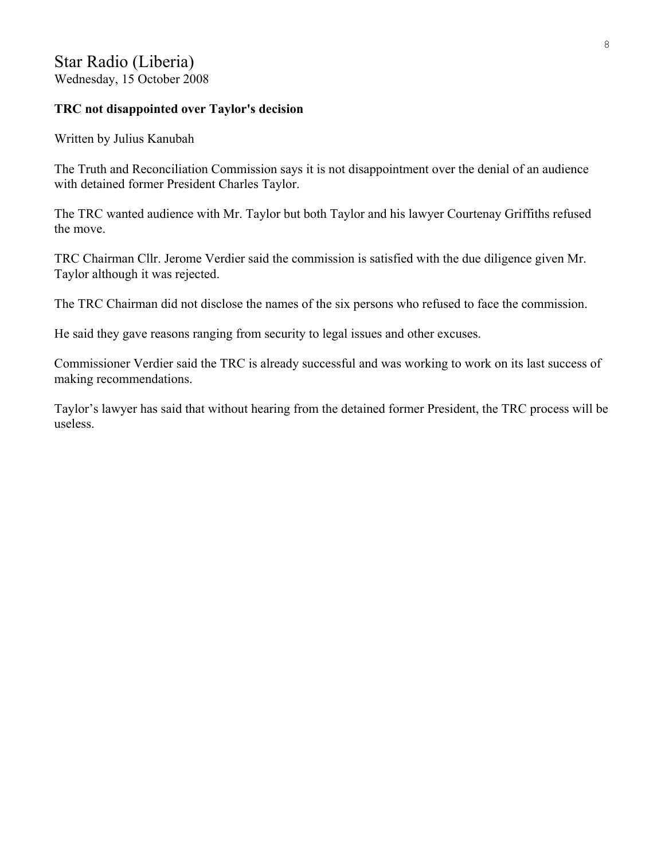#### Star Radio (Liberia) Wednesday, 15 October 2008

#### **TRC not disappointed over Taylor's decision**

Written by Julius Kanubah

The Truth and Reconciliation Commission says it is not disappointment over the denial of an audience with detained former President Charles Taylor.

The TRC wanted audience with Mr. Taylor but both Taylor and his lawyer Courtenay Griffiths refused the move.

TRC Chairman Cllr. Jerome Verdier said the commission is satisfied with the due diligence given Mr. Taylor although it was rejected.

The TRC Chairman did not disclose the names of the six persons who refused to face the commission.

He said they gave reasons ranging from security to legal issues and other excuses.

Commissioner Verdier said the TRC is already successful and was working to work on its last success of making recommendations.

Taylor's lawyer has said that without hearing from the detained former President, the TRC process will be useless.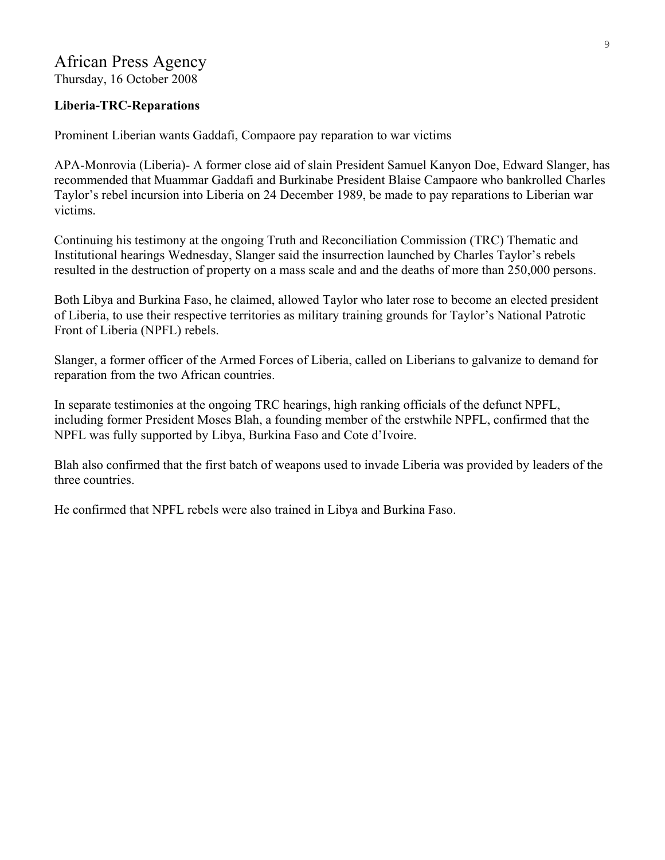# African Press Agency

Thursday, 16 October 2008

#### **Liberia-TRC-Reparations**

Prominent Liberian wants Gaddafi, Compaore pay reparation to war victims

APA-Monrovia (Liberia)- A former close aid of slain President Samuel Kanyon Doe, Edward Slanger, has recommended that Muammar Gaddafi and Burkinabe President Blaise Campaore who bankrolled Charles Taylor's rebel incursion into Liberia on 24 December 1989, be made to pay reparations to Liberian war victims.

Continuing his testimony at the ongoing Truth and Reconciliation Commission (TRC) Thematic and Institutional hearings Wednesday, Slanger said the insurrection launched by Charles Taylor's rebels resulted in the destruction of property on a mass scale and and the deaths of more than 250,000 persons.

Both Libya and Burkina Faso, he claimed, allowed Taylor who later rose to become an elected president of Liberia, to use their respective territories as military training grounds for Taylor's National Patrotic Front of Liberia (NPFL) rebels.

Slanger, a former officer of the Armed Forces of Liberia, called on Liberians to galvanize to demand for reparation from the two African countries.

In separate testimonies at the ongoing TRC hearings, high ranking officials of the defunct NPFL, including former President Moses Blah, a founding member of the erstwhile NPFL, confirmed that the NPFL was fully supported by Libya, Burkina Faso and Cote d'Ivoire.

Blah also confirmed that the first batch of weapons used to invade Liberia was provided by leaders of the three countries.

He confirmed that NPFL rebels were also trained in Libya and Burkina Faso.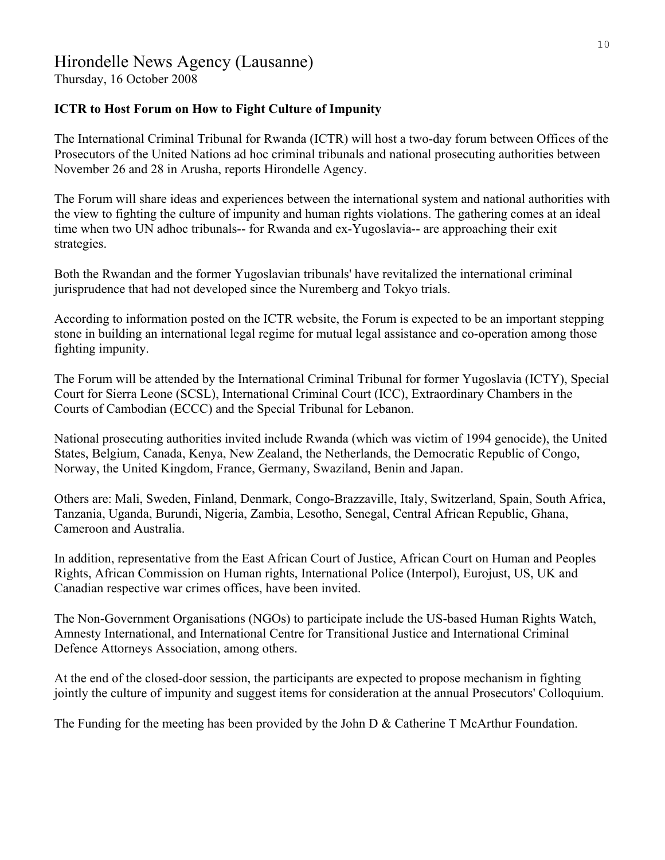# Hirondelle News Agency (Lausanne)

Thursday, 16 October 2008

#### **ICTR to Host Forum on How to Fight Culture of Impunity**

The International Criminal Tribunal for Rwanda (ICTR) will host a two-day forum between Offices of the Prosecutors of the United Nations ad hoc criminal tribunals and national prosecuting authorities between November 26 and 28 in Arusha, reports Hirondelle Agency.

The Forum will share ideas and experiences between the international system and national authorities with the view to fighting the culture of impunity and human rights violations. The gathering comes at an ideal time when two UN adhoc tribunals-- for Rwanda and ex-Yugoslavia-- are approaching their exit strategies.

Both the Rwandan and the former Yugoslavian tribunals' have revitalized the international criminal jurisprudence that had not developed since the Nuremberg and Tokyo trials.

According to information posted on the ICTR website, the Forum is expected to be an important stepping stone in building an international legal regime for mutual legal assistance and co-operation among those fighting impunity.

The Forum will be attended by the International Criminal Tribunal for former Yugoslavia (ICTY), Special Court for Sierra Leone (SCSL), International Criminal Court (ICC), Extraordinary Chambers in the Courts of Cambodian (ECCC) and the Special Tribunal for Lebanon.

National prosecuting authorities invited include Rwanda (which was victim of 1994 genocide), the United States, Belgium, Canada, Kenya, New Zealand, the Netherlands, the Democratic Republic of Congo, Norway, the United Kingdom, France, Germany, Swaziland, Benin and Japan.

Others are: Mali, Sweden, Finland, Denmark, Congo-Brazzaville, Italy, Switzerland, Spain, South Africa, Tanzania, Uganda, Burundi, Nigeria, Zambia, Lesotho, Senegal, Central African Republic, Ghana, Cameroon and Australia.

In addition, representative from the East African Court of Justice, African Court on Human and Peoples Rights, African Commission on Human rights, International Police (Interpol), Eurojust, US, UK and Canadian respective war crimes offices, have been invited.

The Non-Government Organisations (NGOs) to participate include the US-based Human Rights Watch, Amnesty International, and International Centre for Transitional Justice and International Criminal Defence Attorneys Association, among others.

At the end of the closed-door session, the participants are expected to propose mechanism in fighting jointly the culture of impunity and suggest items for consideration at the annual Prosecutors' Colloquium.

The Funding for the meeting has been provided by the John D & Catherine T McArthur Foundation.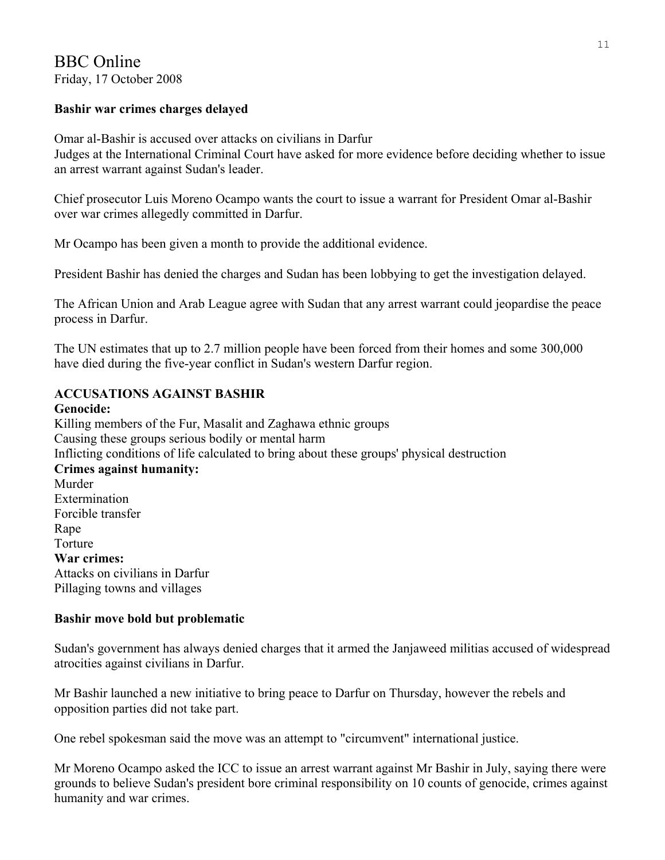# BBC Online Friday, 17 October 2008

#### **Bashir war crimes charges delayed**

Omar al-Bashir is accused over attacks on civilians in Darfur

Judges at the International Criminal Court have asked for more evidence before deciding whether to issue an arrest warrant against Sudan's leader.

Chief prosecutor Luis Moreno Ocampo wants the court to issue a warrant for President Omar al-Bashir over war crimes allegedly committed in Darfur.

Mr Ocampo has been given a month to provide the additional evidence.

President Bashir has denied the charges and Sudan has been lobbying to get the investigation delayed.

The African Union and Arab League agree with Sudan that any arrest warrant could jeopardise the peace process in Darfur.

The UN estimates that up to 2.7 million people have been forced from their homes and some 300,000 have died during the five-year conflict in Sudan's western Darfur region.

# **ACCUSATIONS AGAINST BASHIR**

#### **Genocide:**

Killing members of the Fur, Masalit and Zaghawa ethnic groups Causing these groups serious bodily or mental harm Inflicting conditions of life calculated to bring about these groups' physical destruction **Crimes against humanity:**  Murder Extermination Forcible transfer Rape

Torture **War crimes:**  Attacks on civilians in Darfur Pillaging towns and villages

### **Bashir move bold but problematic**

Sudan's government has always denied charges that it armed the Janjaweed militias accused of widespread atrocities against civilians in Darfur.

Mr Bashir launched a new initiative to bring peace to Darfur on Thursday, however the rebels and opposition parties did not take part.

One rebel spokesman said the move was an attempt to "circumvent" international justice.

Mr Moreno Ocampo asked the ICC to issue an arrest warrant against Mr Bashir in July, saying there were grounds to believe Sudan's president bore criminal responsibility on 10 counts of genocide, crimes against humanity and war crimes.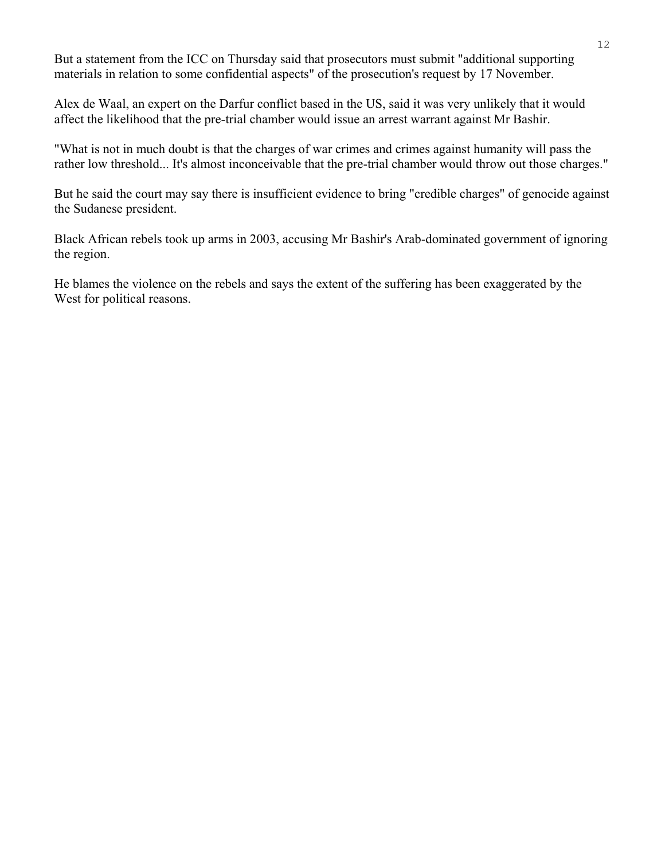But a statement from the ICC on Thursday said that prosecutors must submit "additional supporting materials in relation to some confidential aspects" of the prosecution's request by 17 November.

Alex de Waal, an expert on the Darfur conflict based in the US, said it was very unlikely that it would affect the likelihood that the pre-trial chamber would issue an arrest warrant against Mr Bashir.

"What is not in much doubt is that the charges of war crimes and crimes against humanity will pass the rather low threshold... It's almost inconceivable that the pre-trial chamber would throw out those charges."

But he said the court may say there is insufficient evidence to bring "credible charges" of genocide against the Sudanese president.

Black African rebels took up arms in 2003, accusing Mr Bashir's Arab-dominated government of ignoring the region.

He blames the violence on the rebels and says the extent of the suffering has been exaggerated by the West for political reasons.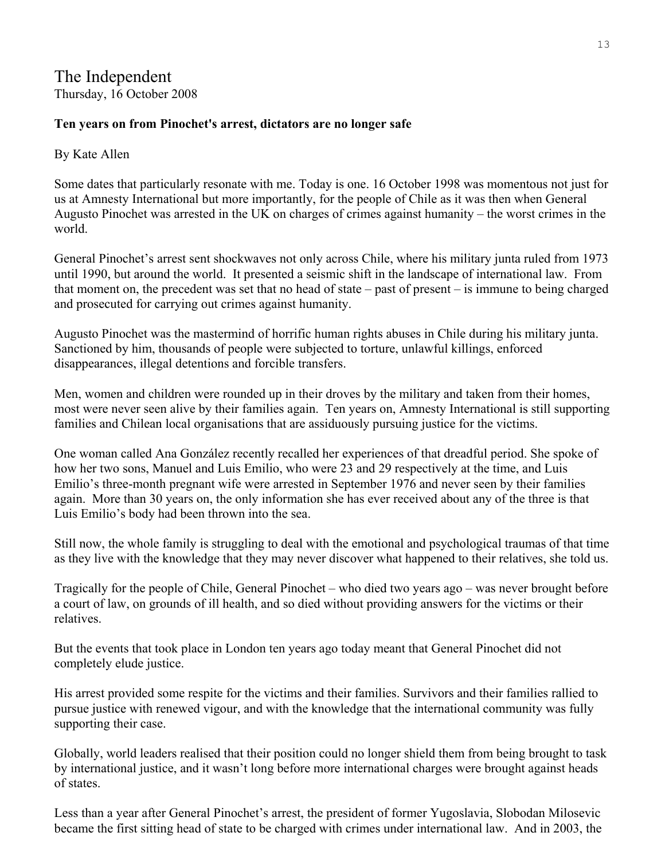# The Independent Thursday, 16 October 2008

#### **Ten years on from Pinochet's arrest, dictators are no longer safe**

#### By Kate Allen

Some dates that particularly resonate with me. Today is one. 16 October 1998 was momentous not just for us at Amnesty International but more importantly, for the people of Chile as it was then when General Augusto Pinochet was arrested in the UK on charges of crimes against humanity – the worst crimes in the world.

General Pinochet's arrest sent shockwaves not only across Chile, where his military junta ruled from 1973 until 1990, but around the world. It presented a seismic shift in the landscape of international law. From that moment on, the precedent was set that no head of state – past of present – is immune to being charged and prosecuted for carrying out crimes against humanity.

Augusto Pinochet was the mastermind of horrific human rights abuses in Chile during his military junta. Sanctioned by him, thousands of people were subjected to torture, unlawful killings, enforced disappearances, illegal detentions and forcible transfers.

Men, women and children were rounded up in their droves by the military and taken from their homes, most were never seen alive by their families again. Ten years on, Amnesty International is still supporting families and Chilean local organisations that are assiduously pursuing justice for the victims.

One woman called Ana González recently recalled her experiences of that dreadful period. She spoke of how her two sons, Manuel and Luis Emilio, who were 23 and 29 respectively at the time, and Luis Emilio's three-month pregnant wife were arrested in September 1976 and never seen by their families again. More than 30 years on, the only information she has ever received about any of the three is that Luis Emilio's body had been thrown into the sea.

Still now, the whole family is struggling to deal with the emotional and psychological traumas of that time as they live with the knowledge that they may never discover what happened to their relatives, she told us.

Tragically for the people of Chile, General Pinochet – who died two years ago – was never brought before a court of law, on grounds of ill health, and so died without providing answers for the victims or their relatives.

But the events that took place in London ten years ago today meant that General Pinochet did not completely elude justice.

His arrest provided some respite for the victims and their families. Survivors and their families rallied to pursue justice with renewed vigour, and with the knowledge that the international community was fully supporting their case.

Globally, world leaders realised that their position could no longer shield them from being brought to task by international justice, and it wasn't long before more international charges were brought against heads of states.

Less than a year after General Pinochet's arrest, the president of former Yugoslavia, Slobodan Milosevic became the first sitting head of state to be charged with crimes under international law. And in 2003, the